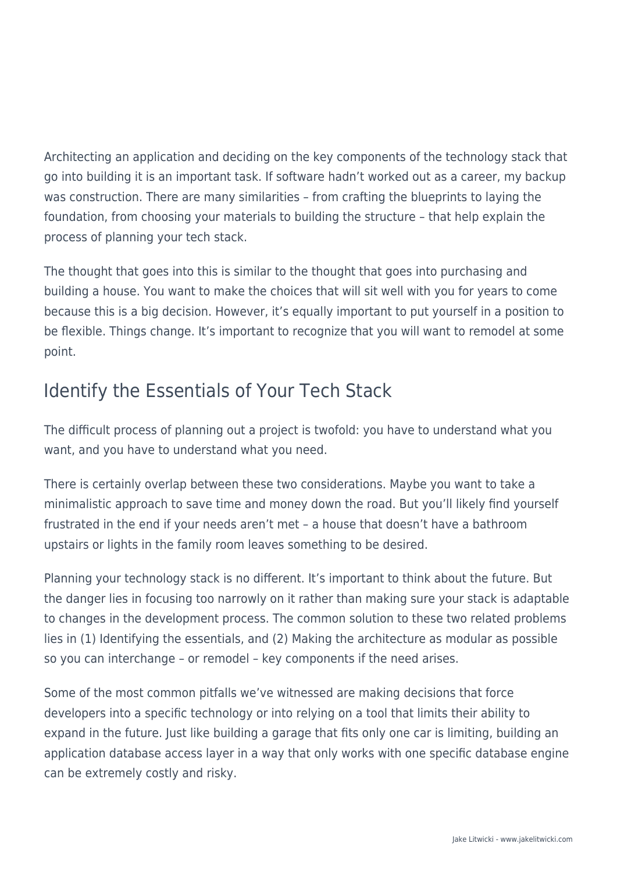Architecting an application and deciding on the key components of the technology stack that go into building it is an important task. If software hadn't worked out as a career, my backup was construction. There are many similarities – from crafting the blueprints to laying the foundation, from choosing your materials to building the structure – that help explain the process of planning your tech stack.

The thought that goes into this is similar to the thought that goes into purchasing and building a house. You want to make the choices that will sit well with you for years to come because this is a big decision. However, it's equally important to put yourself in a position to be flexible. Things change. It's important to recognize that you will want to remodel at some point.

# Identify the Essentials of Your Tech Stack

The difficult process of planning out a project is twofold: you have to understand what you want, and you have to understand what you need.

There is certainly overlap between these two considerations. Maybe you want to take a minimalistic approach to save time and money down the road. But you'll likely find yourself frustrated in the end if your needs aren't met – a house that doesn't have a bathroom upstairs or lights in the family room leaves something to be desired.

Planning your technology stack is no different. It's important to think about the future. But the danger lies in focusing too narrowly on it rather than making sure your stack is adaptable to changes in the development process. The common solution to these two related problems lies in (1) Identifying the essentials, and (2) Making the architecture as modular as possible so you can interchange – or remodel – key components if the need arises.

Some of the most common pitfalls we've witnessed are making decisions that force developers into a specific technology or into relying on a tool that limits their ability to expand in the future. Just like building a garage that fits only one car is limiting, building an application database access layer in a way that only works with one specific database engine can be extremely costly and risky.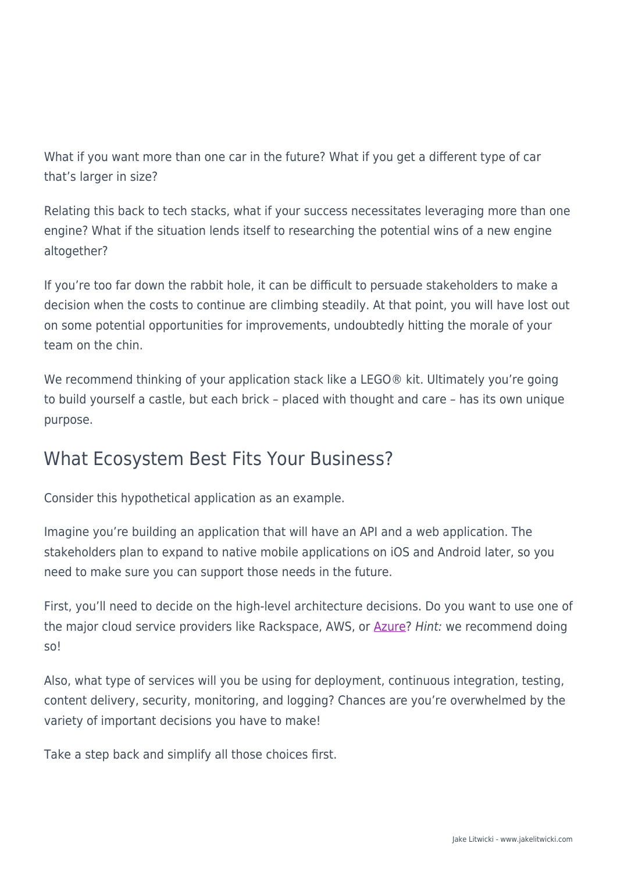What if you want more than one car in the future? What if you get a different type of car that's larger in size?

Relating this back to tech stacks, what if your success necessitates leveraging more than one engine? What if the situation lends itself to researching the potential wins of a new engine altogether?

If you're too far down the rabbit hole, it can be difficult to persuade stakeholders to make a decision when the costs to continue are climbing steadily. At that point, you will have lost out on some potential opportunities for improvements, undoubtedly hitting the morale of your team on the chin.

We recommend thinking of your application stack like a LEGO® kit. Ultimately you're going to build yourself a castle, but each brick – placed with thought and care – has its own unique purpose.

## What Ecosystem Best Fits Your Business?

Consider this hypothetical application as an example.

Imagine you're building an application that will have an API and a web application. The stakeholders plan to expand to native mobile applications on iOS and Android later, so you need to make sure you can support those needs in the future.

First, you'll need to decide on the high-level architecture decisions. Do you want to use one of the major cloud service providers like Rackspace, AWS, or [Azure?](https://www.jakelitwicki.com/wp-content/uploads/2016/09/azure-development) Hint: we recommend doing so!

Also, what type of services will you be using for deployment, continuous integration, testing, content delivery, security, monitoring, and logging? Chances are you're overwhelmed by the variety of important decisions you have to make!

Take a step back and simplify all those choices first.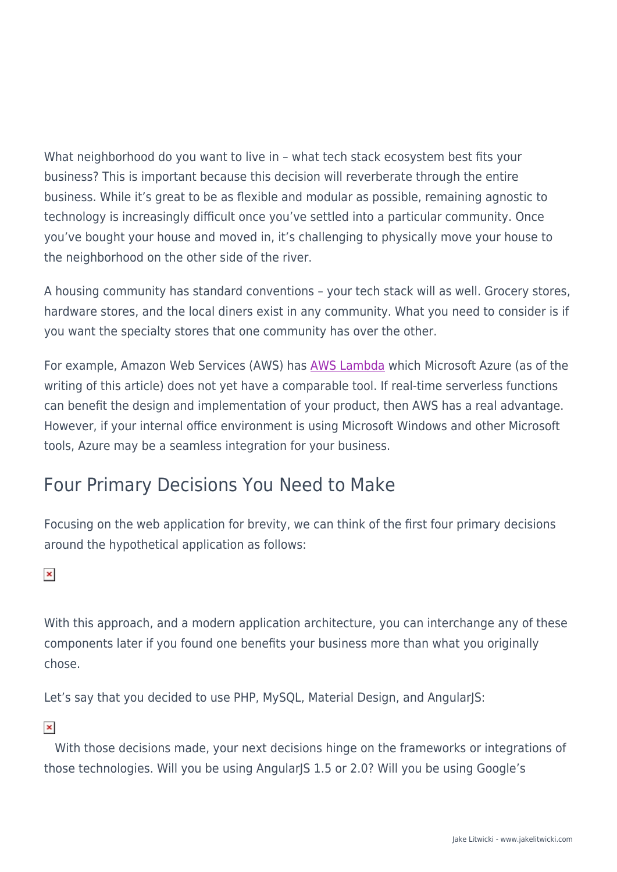What neighborhood do you want to live in – what tech stack ecosystem best fits your business? This is important because this decision will reverberate through the entire business. While it's great to be as flexible and modular as possible, remaining agnostic to technology is increasingly difficult once you've settled into a particular community. Once you've bought your house and moved in, it's challenging to physically move your house to the neighborhood on the other side of the river.

A housing community has standard conventions – your tech stack will as well. Grocery stores, hardware stores, and the local diners exist in any community. What you need to consider is if you want the specialty stores that one community has over the other.

For example, Amazon Web Services (AWS) has [AWS Lambda](https://www.jakelitwicki.com/wp-content/uploads/2016/09/lambda) which Microsoft Azure (as of the writing of this article) does not yet have a comparable tool. If real-time serverless functions can benefit the design and implementation of your product, then AWS has a real advantage. However, if your internal office environment is using Microsoft Windows and other Microsoft tools, Azure may be a seamless integration for your business.

# Four Primary Decisions You Need to Make

Focusing on the web application for brevity, we can think of the first four primary decisions around the hypothetical application as follows:

#### $\pmb{\times}$

With this approach, and a modern application architecture, you can interchange any of these components later if you found one benefits your business more than what you originally chose.

Let's say that you decided to use PHP, MySQL, Material Design, and AngularJS:

### $\pmb{\times}$

With those decisions made, your next decisions hinge on the frameworks or integrations of those technologies. Will you be using AngularJS 1.5 or 2.0? Will you be using Google's